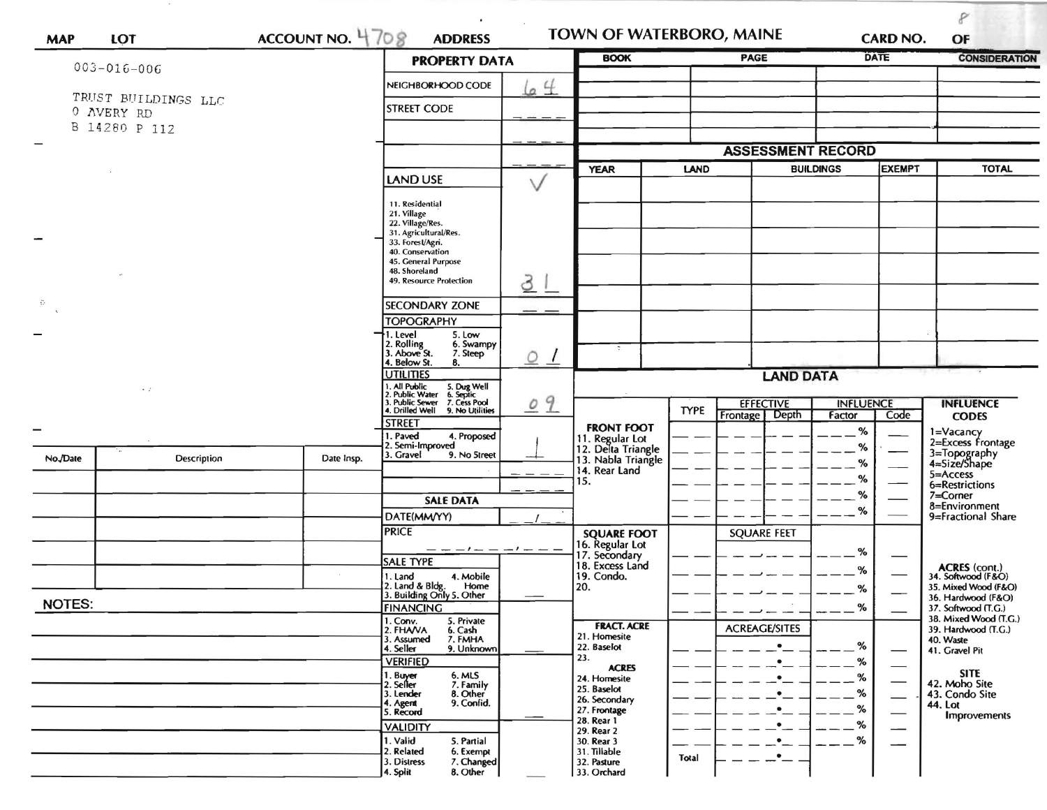| <b>MAP</b>        | LOT                         | ACCOUNT NO. 4708                                                                                                                      | <b>ADDRESS</b>                                                                                                                             |                                                   | TOWN OF WATERBORO, MAINE                                    |                      |                                    |                                  | <b>CARD NO.</b>                                           | P<br>OF                                   |
|-------------------|-----------------------------|---------------------------------------------------------------------------------------------------------------------------------------|--------------------------------------------------------------------------------------------------------------------------------------------|---------------------------------------------------|-------------------------------------------------------------|----------------------|------------------------------------|----------------------------------|-----------------------------------------------------------|-------------------------------------------|
| $003 - 016 - 006$ |                             |                                                                                                                                       | <b>PROPERTY DATA</b>                                                                                                                       |                                                   | <b>BOOK</b>                                                 |                      | <b>PAGE</b>                        |                                  | <b>DATE</b>                                               | <b>CONSIDERATION</b>                      |
|                   |                             |                                                                                                                                       | NEIGHBORHOOD CODE                                                                                                                          | 64                                                |                                                             |                      |                                    |                                  |                                                           |                                           |
|                   | TRUST BUILDINGS LLC         |                                                                                                                                       | <b>STREET CODE</b>                                                                                                                         |                                                   |                                                             |                      |                                    |                                  |                                                           |                                           |
|                   | 0 AVERY RD<br>B 14280 P 112 |                                                                                                                                       |                                                                                                                                            |                                                   |                                                             |                      |                                    |                                  |                                                           |                                           |
|                   |                             |                                                                                                                                       |                                                                                                                                            |                                                   |                                                             |                      |                                    |                                  |                                                           |                                           |
|                   |                             |                                                                                                                                       |                                                                                                                                            |                                                   | <b>ASSESSMENT RECORD</b>                                    |                      |                                    |                                  |                                                           |                                           |
|                   |                             |                                                                                                                                       | <b>LAND USE</b>                                                                                                                            |                                                   | <b>YEAR</b><br><b>LAND</b>                                  |                      | <b>BUILDINGS</b><br><b>EXEMPT</b>  |                                  | <b>TOTAL</b>                                              |                                           |
|                   |                             |                                                                                                                                       | 11. Residential<br>21. Village<br>22. Village/Res.<br>31. Agricultural/Res.<br>33. Forest/Agri.<br>40. Conservation<br>45. General Purpose |                                                   |                                                             |                      |                                    |                                  |                                                           |                                           |
|                   |                             | 48. Shoreland<br>49. Resource Protection                                                                                              | 3                                                                                                                                          |                                                   |                                                             |                      |                                    |                                  |                                                           |                                           |
| $\sim$            |                             |                                                                                                                                       | <b>SECONDARY ZONE</b>                                                                                                                      |                                                   |                                                             |                      |                                    |                                  |                                                           |                                           |
|                   |                             |                                                                                                                                       | <b>TOPOGRAPHY</b>                                                                                                                          |                                                   |                                                             |                      |                                    |                                  |                                                           |                                           |
|                   |                             | †1. Level<br>5. Low<br>2. Rolling<br>3. Above St.<br>6. Swampy<br>7. Steep<br>4. Below St.<br>8.                                      | O<br>$\frac{1}{\sqrt{2}}$                                                                                                                  | $\overline{\cdot}$                                |                                                             |                      |                                    |                                  |                                                           |                                           |
|                   |                             |                                                                                                                                       | <b>UTILITIES</b>                                                                                                                           |                                                   | <b>LAND DATA</b>                                            |                      |                                    |                                  |                                                           |                                           |
|                   | $\sim$ 70                   | 1. All Public<br>2. Public Water<br>3. Public Sewer<br>4. Drilled Well<br>5. Dug Well<br>6. Septic<br>7. Cess Pool<br>9. No Utilities | 09                                                                                                                                         |                                                   | <b>EFFECTIVE</b><br><b>TYPE</b><br>Frontage   Depth         |                      | <b>INFLUENCE</b><br>Factor<br>Code | <b>INFLUENCE</b><br><b>CODES</b> |                                                           |                                           |
|                   |                             |                                                                                                                                       | <b>STREET</b><br>1. Paved<br>4. Proposed<br>2. Semi-Improved                                                                               |                                                   | <b>FRONT FOOT</b>                                           |                      |                                    | %                                |                                                           | 1=Vacancy<br>2=Excess Frontage            |
| No./Date          | Description                 | Date Insp.                                                                                                                            | 3. Gravel<br>9. No Street                                                                                                                  |                                                   | 11. Regular Lot<br>12. Delta Triangle<br>13. Nabla Triangle |                      |                                    |                                  |                                                           | 3=Topography<br>4=Size/Shape              |
|                   |                             |                                                                                                                                       |                                                                                                                                            |                                                   | 14. Rear Land<br>15.                                        |                      |                                    | %                                |                                                           | 5=Access                                  |
|                   |                             |                                                                                                                                       | <b>SALE DATA</b>                                                                                                                           |                                                   |                                                             |                      |                                    | %                                |                                                           | 6=Restrictions<br>$7 =$ Corner            |
|                   |                             |                                                                                                                                       | DATE(MM/YY)                                                                                                                                |                                                   |                                                             |                      |                                    | %                                |                                                           | 8=Environment<br>9=Fractional Share       |
|                   |                             |                                                                                                                                       | <b>PRICE</b>                                                                                                                               |                                                   | <b>SQUARE FOOT</b>                                          |                      | <b>SQUARE FEET</b>                 |                                  |                                                           |                                           |
|                   |                             |                                                                                                                                       |                                                                                                                                            | $-1$ $-1$ $-1$                                    | 16. Regular Lot<br>17. Secondary<br>18. Excess Land         |                      |                                    | %                                |                                                           |                                           |
|                   |                             |                                                                                                                                       | <b>SALE TYPE</b><br>1. Land<br>4. Mobile                                                                                                   |                                                   | 19. Condo.                                                  |                      |                                    | %                                |                                                           | ACRES (cont.)<br>34. Softwood (F&O)       |
|                   |                             |                                                                                                                                       | 2. Land & Bldg. Home<br>3. Building Only 5. Other<br>Home                                                                                  |                                                   | 20.                                                         |                      |                                    | %                                |                                                           | 35. Mixed Wood (F&O)                      |
| <b>NOTES:</b>     |                             |                                                                                                                                       | <b>FINANCING</b>                                                                                                                           |                                                   |                                                             |                      |                                    | $--$ %                           |                                                           | 36. Hardwood (F&O)<br>37. Softwood (T.G.) |
|                   |                             | 1. Conv.<br>5. Private<br>2. FHAVA<br>6. Cash<br>7. FMHA<br>3. Assumed<br>4. Seller<br>9. Unknown                                     |                                                                                                                                            | <b>FRACT. ACRE</b><br>21. Homesite<br>22. Baselot |                                                             | <b>ACREAGE/SITES</b> | %                                  |                                  | 38. Mixed Wood (T.G.)<br>39. Hardwood (T.G.)<br>40. Waste |                                           |
|                   |                             |                                                                                                                                       | <b>VERIFIED</b>                                                                                                                            |                                                   | 23.                                                         |                      |                                    | %                                |                                                           | 41. Gravel Pit                            |
|                   |                             |                                                                                                                                       | 1. Buyer<br>2. Seller<br>6. MLS<br>7. Family                                                                                               |                                                   | <b>ACRES</b><br>24. Homesite                                |                      |                                    | $\%$                             |                                                           | <b>SITE</b><br>42. Moho Site              |
|                   |                             |                                                                                                                                       | 8. Other<br>3. Lender<br>9. Confid.                                                                                                        |                                                   | 25. Baselot<br>26. Secondary                                |                      |                                    | %                                |                                                           | 43. Condo Site                            |
|                   |                             |                                                                                                                                       | 4. Agent<br>5. Record                                                                                                                      |                                                   | 27. Frontage<br>28. Rear 1                                  |                      |                                    | ℅                                |                                                           | 44. Lot<br>Improvements                   |
|                   |                             |                                                                                                                                       | <b>VALIDITY</b>                                                                                                                            |                                                   | 29. Rear 2                                                  |                      |                                    | %                                |                                                           |                                           |
|                   |                             |                                                                                                                                       | 1. Valid<br>5. Partial<br>2. Related<br>6. Exempt<br>7. Changed<br>3. Distress<br>4. Split<br>8. Other                                     |                                                   | 30. Rear 3<br>31. Tillable<br>32. Pasture<br>33. Orchard    | Total                |                                    | %                                |                                                           |                                           |